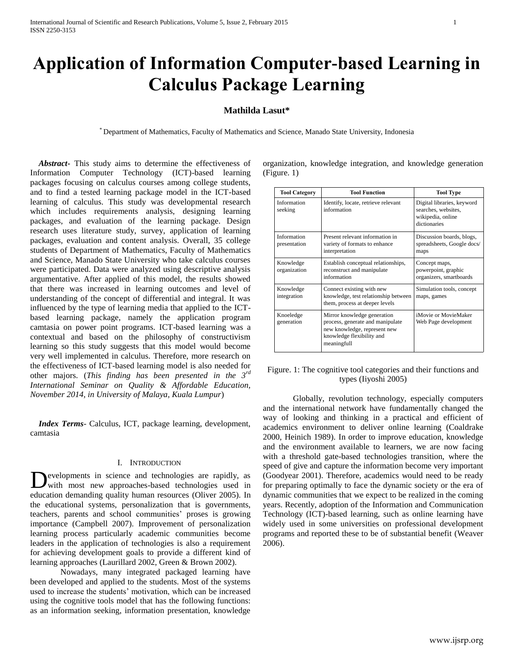# **Application of Information Computer-based Learning in Calculus Package Learning**

# **Mathilda Lasut\***

\* Department of Mathematics, Faculty of Mathematics and Science, Manado State University, Indonesia

 *Abstract***-** This study aims to determine the effectiveness of Information Computer Technology (ICT)-based learning packages focusing on calculus courses among college students, and to find a tested learning package model in the ICT-based learning of calculus. This study was developmental research which includes requirements analysis, designing learning packages, and evaluation of the learning package. Design research uses literature study, survey, application of learning packages, evaluation and content analysis. Overall, 35 college students of Department of Mathematics, Faculty of Mathematics and Science, Manado State University who take calculus courses were participated. Data were analyzed using descriptive analysis argumentative. After applied of this model, the results showed that there was increased in learning outcomes and level of understanding of the concept of differential and integral. It was influenced by the type of learning media that applied to the ICTbased learning package, namely the application program camtasia on power point programs. ICT-based learning was a contextual and based on the philosophy of constructivism learning so this study suggests that this model would become very well implemented in calculus. Therefore, more research on the effectiveness of ICT-based learning model is also needed for other majors. (*This finding has been presented in the 3rd International Seminar on Quality & Affordable Education, November 2014, in University of Malaya, Kuala Lumpur*)

 *Index Terms*- Calculus, ICT, package learning, development, camtasia

## I. INTRODUCTION

evelopments in science and technologies are rapidly, as with most new approaches-based technologies used in Developments in science and technologies are rapidly, as with most new approaches-based technologies used in education demanding quality human resources (Oliver 2005). In the educational systems, personalization that is governments, teachers, parents and school communities' proses is growing importance (Campbell 2007). Improvement of personalization learning process particularly academic communities become leaders in the application of technologies is also a requirement for achieving development goals to provide a different kind of learning approaches (Laurillard 2002, Green & Brown 2002).

Nowadays, many integrated packaged learning have been developed and applied to the students. Most of the systems used to increase the students' motivation, which can be increased using the cognitive tools model that has the following functions: as an information seeking, information presentation, knowledge organization, knowledge integration, and knowledge generation (Figure. 1)

| <b>Tool Category</b>        | <b>Tool Function</b>                                                                                                                        | <b>Tool Type</b>                                                                       |
|-----------------------------|---------------------------------------------------------------------------------------------------------------------------------------------|----------------------------------------------------------------------------------------|
| Information<br>seeking      | Identify, locate, retrieve relevant<br>information                                                                                          | Digital libraries, keyword<br>searches, websites,<br>wikipedia, online<br>dictionaries |
| Information<br>presentation | Present relevant information in<br>variety of formats to enhance<br>interpretation                                                          | Discussion boards, blogs,<br>spreadsheets, Google docs/<br>maps                        |
| Knowledge<br>organization   | Establish conceptual relationships,<br>reconstruct and manipulate<br>information                                                            | Concept maps,<br>powerpoint, graphic<br>organizers, smartboards                        |
| Knowledge<br>integration    | Connect existing with new<br>knowledge, test relationship between<br>them, process at deeper levels                                         | Simulation tools, concept<br>maps, games                                               |
| Knoeledge<br>generation     | Mirror knowledge generation<br>process, generate and manipulate<br>new knowledge, represent new<br>knowledge flexibility and<br>meaningfull | iMovie or MovieMaker<br>Web Page development                                           |

Figure. 1: The cognitive tool categories and their functions and types (Iiyoshi 2005)

Globally, revolution technology, especially computers and the international network have fundamentally changed the way of looking and thinking in a practical and efficient of academics environment to deliver online learning (Coaldrake 2000, Heinich 1989). In order to improve education, knowledge and the environment available to learners, we are now facing with a threshold gate-based technologies transition, where the speed of give and capture the information become very important (Goodyear 2001). Therefore, academics would need to be ready for preparing optimally to face the dynamic society or the era of dynamic communities that we expect to be realized in the coming years. Recently, adoption of the Information and Communication Technology (ICT)-based learning, such as online learning have widely used in some universities on professional development programs and reported these to be of substantial benefit (Weaver 2006).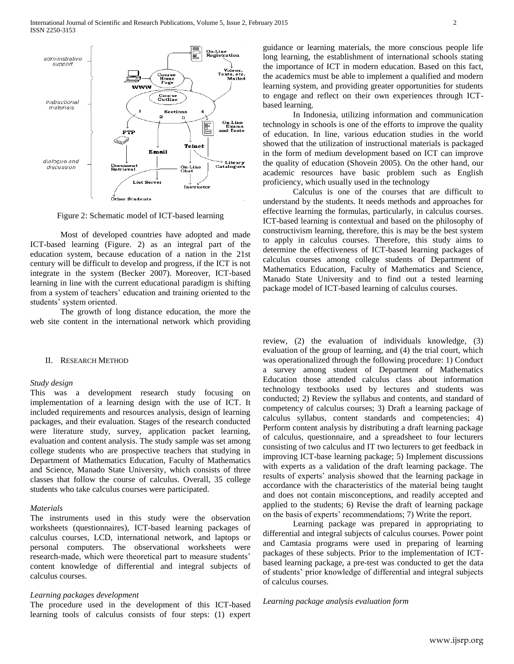

Figure 2: Schematic model of ICT-based learning

Most of developed countries have adopted and made ICT-based learning (Figure. 2) as an integral part of the education system, because education of a nation in the 21st century will be difficult to develop and progress, if the ICT is not integrate in the system (Becker 2007). Moreover, ICT-based learning in line with the current educational paradigm is shifting from a system of teachers' education and training oriented to the students' system oriented.

The growth of long distance education, the more the web site content in the international network which providing

#### II. RESEARCH METHOD

## *Study design*

This was a development research study focusing on implementation of a learning design with the use of ICT. It included requirements and resources analysis, design of learning packages, and their evaluation. Stages of the research conducted were literature study, survey, application packet learning, evaluation and content analysis. The study sample was set among college students who are prospective teachers that studying in Department of Mathematics Education, Faculty of Mathematics and Science, Manado State University, which consists of three classes that follow the course of calculus. Overall, 35 college students who take calculus courses were participated.

#### *Materials*

The instruments used in this study were the observation worksheets (questionnaires), ICT-based learning packages of calculus courses, LCD, international network, and laptops or personal computers. The observational worksheets were research-made, which were theoretical part to measure students' content knowledge of differential and integral subjects of calculus courses.

## *Learning packages development*

The procedure used in the development of this ICT-based learning tools of calculus consists of four steps: (1) expert guidance or learning materials, the more conscious people life long learning, the establishment of international schools stating the importance of ICT in modern education. Based on this fact, the academics must be able to implement a qualified and modern learning system, and providing greater opportunities for students to engage and reflect on their own experiences through ICTbased learning.

In Indonesia, utilizing information and communication technology in schools is one of the efforts to improve the quality of education. In line, various education studies in the world showed that the utilization of instructional materials is packaged in the form of medium development based on ICT can improve the quality of education (Shovein 2005). On the other hand, our academic resources have basic problem such as English proficiency, which usually used in the technology

Calculus is one of the courses that are difficult to understand by the students. It needs methods and approaches for effective learning the formulas, particularly, in calculus courses. ICT-based learning is contextual and based on the philosophy of constructivism learning, therefore, this is may be the best system to apply in calculus courses. Therefore, this study aims to determine the effectiveness of ICT-based learning packages of calculus courses among college students of Department of Mathematics Education, Faculty of Mathematics and Science, Manado State University and to find out a tested learning package model of ICT-based learning of calculus courses.

review, (2) the evaluation of individuals knowledge, (3) evaluation of the group of learning, and (4) the trial court, which was operationalized through the following procedure: 1) Conduct a survey among student of Department of Mathematics Education those attended calculus class about information technology textbooks used by lectures and students was conducted; 2) Review the syllabus and contents, and standard of competency of calculus courses; 3) Draft a learning package of calculus syllabus, content standards and competencies; 4) Perform content analysis by distributing a draft learning package of calculus, questionnaire, and a spreadsheet to four lecturers consisting of two calculus and IT two lecturers to get feedback in improving ICT-base learning package; 5) Implement discussions with experts as a validation of the draft learning package. The results of experts' analysis showed that the learning package in accordance with the characteristics of the material being taught and does not contain misconceptions, and readily accepted and applied to the students; 6) Revise the draft of learning package on the basis of experts' recommendations; 7) Write the report.

Learning package was prepared in appropriating to differential and integral subjects of calculus courses. Power point and Camtasia programs were used in preparing of learning packages of these subjects. Prior to the implementation of ICTbased learning package, a pre-test was conducted to get the data of students' prior knowledge of differential and integral subjects of calculus courses.

*Learning package analysis evaluation form*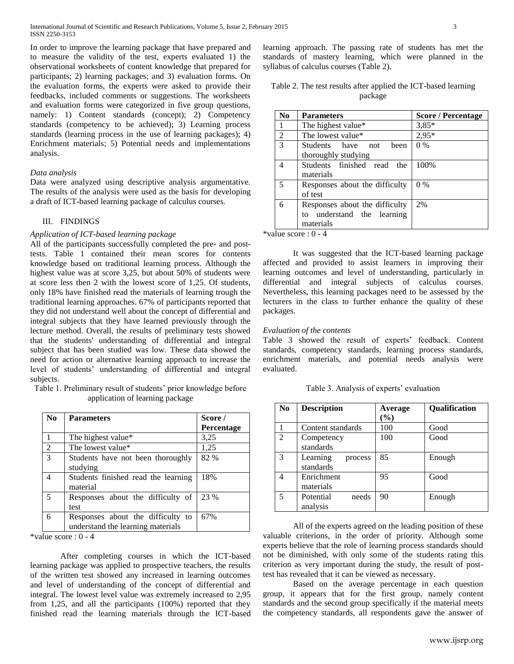In order to improve the learning package that have prepared and to measure the validity of the test, experts evaluated 1) the observational worksheets of content knowledge that prepared for participants; 2) learning packages; and 3) evaluation forms. On the evaluation forms, the experts were asked to provide their feedbacks, included comments or suggestions. The worksheets and evaluation forms were categorized in five group questions, namely: 1) Content standards (concept); 2) Competency standards (competency to be achieved); 3) Learning process standards (learning process in the use of learning packages); 4) Enrichment materials; 5) Potential needs and implementations analysis.

## *Data analysis*

Data were analyzed using descriptive analysis argumentative. The results of the analysis were used as the basis for developing a draft of ICT-based learning package of calculus courses.

# III. FINDINGS

# *Application of ICT-based learning package*

All of the participants successfully completed the pre- and posttests. Table 1 contained their mean scores for contents knowledge based on traditional learning process. Although the highest value was at score 3,25, but about 50% of students were at score less then 2 with the lowest score of 1,25. Of students, only 18% have finished read the materials of learning trough the traditional learning approaches. 67% of participants reported that they did not understand well about the concept of differential and integral subjects that they have learned previously through the lecture method. Overall, the results of preliminary tests showed that the students' understanding of differential and integral subject that has been studied was low. These data showed the need for action or alternative learning approach to increase the level of students' understanding of differential and integral subjects.

Table 1. Preliminary result of students' prior knowledge before application of learning package

| N <sub>0</sub> | <b>Parameters</b>                   | Score /    |
|----------------|-------------------------------------|------------|
|                |                                     | Percentage |
|                | The highest value*                  | 3,25       |
| $\overline{c}$ | The lowest value*                   | 1,25       |
| $\mathcal{E}$  | Students have not been thoroughly   | 82 %       |
|                | studying                            |            |
| 4              | Students finished read the learning | 18%        |
|                | material                            |            |
| 5              | Responses about the difficulty of   | 23 %       |
|                | test                                |            |
| 6              | Responses about the difficulty to   | 67%        |
|                | understand the learning materials   |            |

\*value score : 0 - 4

After completing courses in which the ICT-based learning package was applied to prospective teachers, the results of the written test showed any increased in learning outcomes and level of understanding of the concept of differential and integral. The lowest level value was extremely increased to 2,95 from 1,25, and all the participants (100%) reported that they finished read the learning materials through the ICT-based learning approach. The passing rate of students has met the standards of mastery learning, which were planned in the syllabus of calculus courses (Table 2).

| Table 2. The test results after applied the ICT-based learning |
|----------------------------------------------------------------|
| package                                                        |

| No             | <b>Parameters</b>                                                         | <b>Score / Percentage</b> |
|----------------|---------------------------------------------------------------------------|---------------------------|
|                | The highest value*                                                        | $3,85*$                   |
| $\overline{2}$ | The lowest value*                                                         | $2,95*$                   |
| 3              | Students have not<br>been<br>thoroughly studying                          | $0\%$                     |
| 4              | Students finished read the<br>materials                                   | 100%                      |
| 5              | Responses about the difficulty<br>of test                                 | $0\%$                     |
| 6              | Responses about the difficulty<br>to understand the learning<br>materials | 2%                        |

\*value score : 0 - 4

It was suggested that the ICT-based learning package affected and provided to assist learners in improving their learning outcomes and level of understanding, particularly in differential and integral subjects of calculus courses. Nevertheless, this learning packages need to be assessed by the lecturers in the class to further enhance the quality of these packages.

### *Evaluation of the contents*

Table 3 showed the result of experts' feedback. Content standards, competency standards, learning process standards, enrichment materials, and potential needs analysis were evaluated.

Table 3. Analysis of experts' evaluation

| N <sub>0</sub> | <b>Description</b>               | Average<br>$(\%)$ | <b>Qualification</b> |
|----------------|----------------------------------|-------------------|----------------------|
|                | Content standards                | 100               | Good                 |
| 2              | Competency<br>standards          | 100               | Good                 |
| 3              | Learning<br>process<br>standards | 85                | Enough               |
| 4              | Enrichment<br>materials          | 95                | Good                 |
| 5              | Potential<br>needs<br>analysis   | 90                | Enough               |

All of the experts agreed on the leading position of these valuable criterions, in the order of priority. Although some experts believe that the role of learning process standards should not be diminished, with only some of the students rating this criterion as very important during the study, the result of posttest has revealed that it can be viewed as necessary.

Based on the average percentage in each question group, it appears that for the first group, namely content standards and the second group specifically if the material meets the competency standards, all respondents gave the answer of